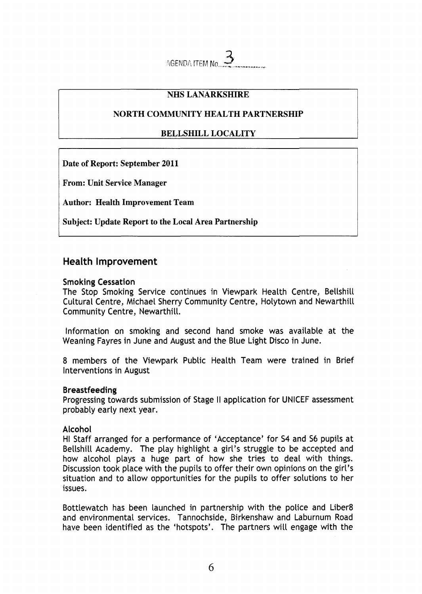AGENDA ITEM No

## **NHS LANARKSHIRE**

## **NORTH COMMUNITY HEALTH PARTNERSHIP**

# **BELLSHILL LOCALITY**

**Date of Report: September 2011** 

**From: Unit Service Manager** 

**Author: Health Improvement Team** 

**Subject: Update Report to the Local Area Partnership** 

# **Health Improvement**

## **Smoking Cessation**

The Stop Smoking Service continues in Viewpark Health Centre, Bellshill Cultural Centre, Michael Sherry Community Centre, Holytown and Newarthill Community Centre, Newarthill.

Information on smoking and second hand smoke was available at the Weaning Fayres in June and August and the Blue Light Disco in June.

8 members of the Viewpark Public Health Team were trained in Brief Interventions in August

## **Breastfeeding**

Progressing towards submission of Stage II application for UNICEF assessment probably early next year.

## **Alcohol**

HI Staff arranged for a performance of 'Acceptance' for **54** and *56* pupils at Bellshill Academy. The play highlight a girl's struggle to be accepted and how alcohol plays a huge part of how she tries to deal with things. Discussion took place with the pupils to offer their own opinions on the girl's situation and to allow opportunities for the pupils to offer solutions to her issues.

Bottlewatch has been launched in partnership with the police and Liber8 and environmental services. Tannochside, Birkenshaw and Laburnum Road have been identified as the 'hotspots'. The partners will engage with the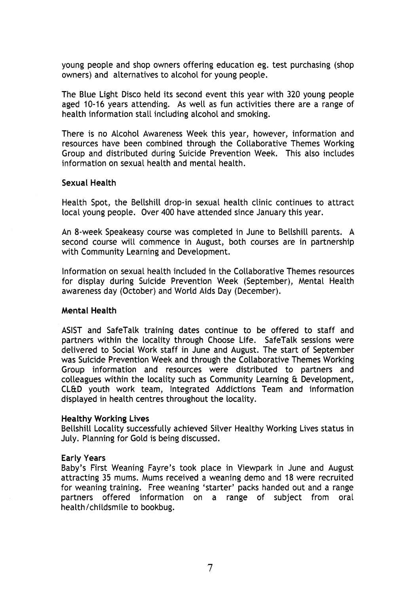young people and shop owners offering education eg. test purchasing (shop owners) and alternatives to alcohol for young people.

The Blue Light Disco held its second event this year with 320 young people aged 10-16 years attending. As well as fun activities there are a range of health information stall including alcohol and smoking.

There is no Alcohol Awareness Week this year, however, information and resources have been combined through the Collaborative Themes Working Group and distributed during Suicide Prevention Week. This also includes information on sexual health and mental health.

#### **Sexual Health**

Health Spot, the Bellshill drop-in sexual health clinic continues to attract local young people. Over 400 have attended since January this year.

An 8-week Speakeasy course was completed in June to Bellshill parents. A second course will commence in August, both courses are in partnership with Community Learning and Development.

Information on sexual health included in the Collaborative Themes resources for display during Suicide Prevention Week (September), Mental Health awareness day (October) and World Aids Day (December).

#### **Mental Health**

ASIST and SafeTalk training dates continue to be offered to staff and partners within the locality through Choose Life. SafeTalk sessions were delivered to Social Work staff in June and August. The start of September was Suicide Prevention Week and through the Collaborative Themes Working Group information and resources were distributed to partners and colleagues within the locality such as Community Learning & Development, CL&D youth work team, Integrated Addictions Team and information displayed in health centres throughout the locality.

#### **Healthy Working Lives**

Bellshill Locality successfully achieved Silver Healthy Working Lives status in July. Planning for Gold is being discussed.

#### **Early Years**

Baby's First Weaning Fayre's took place in Viewpark in June and August attracting 35 mums. Mums received a weaning demo and 18 were recruited for weaning training. Free weaning 'starter' packs handed out and a range partners offered information on a range of subject from oral health/childsmile to bookbug.